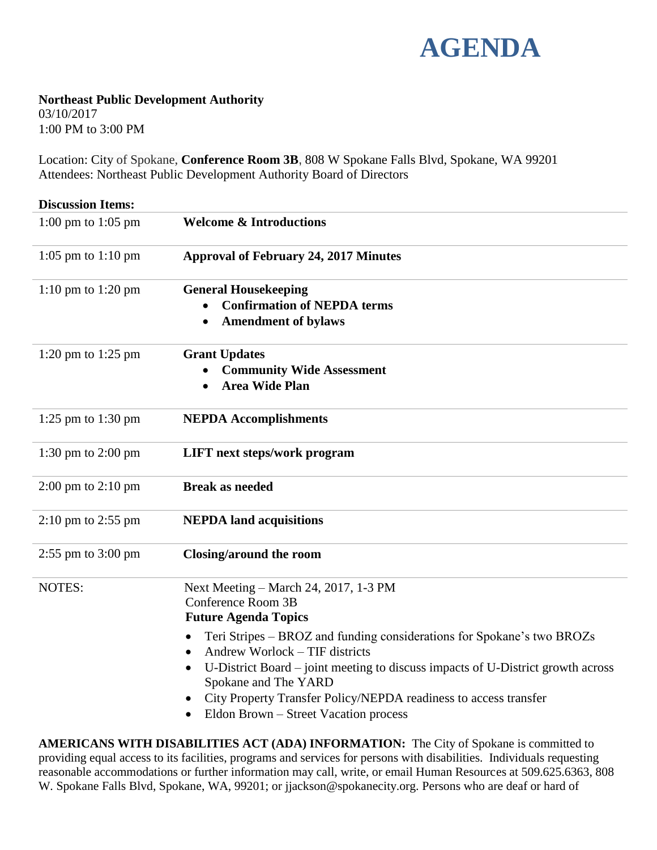

## **Northeast Public Development Authority**

03/10/2017 1:00 PM to 3:00 PM

Location: City of Spokane, **Conference Room 3B**, 808 W Spokane Falls Blvd, Spokane, WA 99201 Attendees: Northeast Public Development Authority Board of Directors

| <b>Discussion Items:</b>               |                                                                                                                                                                                                                                                                                                                                                                                                                                                          |
|----------------------------------------|----------------------------------------------------------------------------------------------------------------------------------------------------------------------------------------------------------------------------------------------------------------------------------------------------------------------------------------------------------------------------------------------------------------------------------------------------------|
| 1:00 pm to 1:05 pm                     | <b>Welcome &amp; Introductions</b>                                                                                                                                                                                                                                                                                                                                                                                                                       |
| 1:05 pm to $1:10$ pm                   | <b>Approval of February 24, 2017 Minutes</b>                                                                                                                                                                                                                                                                                                                                                                                                             |
| 1:10 pm to 1:20 pm                     | <b>General Housekeeping</b><br><b>Confirmation of NEPDA terms</b><br><b>Amendment of bylaws</b>                                                                                                                                                                                                                                                                                                                                                          |
| 1:20 pm to 1:25 pm                     | <b>Grant Updates</b><br><b>Community Wide Assessment</b><br><b>Area Wide Plan</b>                                                                                                                                                                                                                                                                                                                                                                        |
| 1:25 pm to 1:30 pm                     | <b>NEPDA Accomplishments</b>                                                                                                                                                                                                                                                                                                                                                                                                                             |
| $1:30 \text{ pm}$ to $2:00 \text{ pm}$ | <b>LIFT</b> next steps/work program                                                                                                                                                                                                                                                                                                                                                                                                                      |
| 2:00 pm to 2:10 pm                     | <b>Break as needed</b>                                                                                                                                                                                                                                                                                                                                                                                                                                   |
| $2:10 \text{ pm}$ to $2:55 \text{ pm}$ | <b>NEPDA</b> land acquisitions                                                                                                                                                                                                                                                                                                                                                                                                                           |
| $2:55$ pm to $3:00$ pm                 | Closing/around the room                                                                                                                                                                                                                                                                                                                                                                                                                                  |
| NOTES:                                 | Next Meeting - March 24, 2017, 1-3 PM<br>Conference Room 3B<br><b>Future Agenda Topics</b><br>Teri Stripes – BROZ and funding considerations for Spokane's two BROZs<br>$\bullet$<br>Andrew Worlock – TIF districts<br>$\bullet$<br>U-District Board – joint meeting to discuss impacts of U-District growth across<br>Spokane and The YARD<br>City Property Transfer Policy/NEPDA readiness to access transfer<br>Eldon Brown - Street Vacation process |

**AMERICANS WITH DISABILITIES ACT (ADA) INFORMATION:** The City of Spokane is committed to providing equal access to its facilities, programs and services for persons with disabilities. Individuals requesting reasonable accommodations or further information may call, write, or email Human Resources at 509.625.6363, 808 W. Spokane Falls Blvd, Spokane, WA, 99201; or jjackson@spokanecity.org. Persons who are deaf or hard of